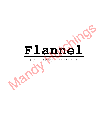# **Flannel**

## By: Mandy Hutchings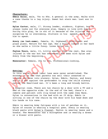#### **Characters:**

**Edwin Gains**, male, 70s to 80s. A general in the army. Walks with a cane thanks to a leg injury. Sweet but stern man. Lost son in war.

**Dylan Carter**, male, 17. Strong leader, stubborn, fighter, but he always looks out for everyone else. Deeply in love with Avery. During this play, he is out of it because of the injuries and surgeries he is overcoming. Stutters in his speech. Hard for him to speak.

**Avery (no last-name)**, female, 16, Orphaned, Intelligent and plays piano. Mature for her age. Has a bullet lodged in her back so she walks a little funny. Loves Dylan too.

**Peyton Tours**, male, 13, Little smaller than the rest. Was also injured in the war but has recovered. Has been with Dylan and Avery from the beginning.

**Newscaster:** female, 30s to 40s, Professional-looking.

#### **Setting:**

In this world, child labor laws were never established. The economy is so bad that parents can sell their unwanted or trouble children into slavery. Dylan, Edwin, Peyton, and Avery are in a war against the government to stop the child slavery called the Heartland war. It's been a long and bloody battle.

A hospital room. There are two chairs by a door with a TV and a bed on the opposite side. On the end of the bed, there's a remote and patient info clip broad with the name Joey Mane. Dylan is unconscious in the bed with an IV drip. Edwin is sitting in one of the chairs by the door with his head down and his hands on his cane.

Edwin is wearing Army fatigues with a ton of patches on it. Dylan of course is wearing a hospital gown. Avery is wearing black pants with Dylan's flannel. Peyton is wearing jeans and a hoodie. The Newscaster has a microphone and is wearing a dress or a blazer with pants.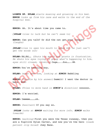**LIGHTS UP. DYLAN**, *starts moaning and groaning in his bed.* **EDWIN** *looks up from his cane and walks to the end of the hospital bed.* 

**EDWIN:** Ah. It's about time you came to.

*( DYLAN tries to talk but he can't seem to)* 

**EDWIN:** Can you talk? Or did the cat get your tongue? *(laughs)*

*(DYLAN tries to open his mouth to speak but he just can't get the words out)*

**DYLAN:** Ed…Ed…… *(Shuts his mouth and grunts in frustration. He shuts his eyes trying to grasp what's happening to him. eyes still closed, thinking)* Cage…...Zoo……..Wh

**EDWIN:** You're babbling boy.

**DYLAN:** *(eyes open now, looking at EDWIN)* Babbling

**EDWIN:** *(Trouble by his answer)* Dammit! I want the doctor in here. NOW!

**DYLAN:** *(Tries to move hand in EDWIN's direction)* nnnoooo.

**EDWIN:** I'm worried.

**DYLAN:** Immmmm…………ok.

**EDWIN:** *(hesitant)* If you say so.

*(DYLAN looks at EDWIN waiting for more info. EDWIN walks towards)*

**EDWIN:** *(walking)* First you were the Texas runaway, then you are a fugitive Dylan Carter, and now you're the hero *(reads patient clip broad)* Joey Mane..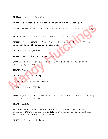**(***DYLAN looks confused.)* 

**EDWIN:** Well you can't keep a fugitive name, can you?

**DYLAN:** *(thinks it over, but is still a little confused)* Joey

*(EDWIN sits at end of bed. Both hands on top of cane)* 

**EDWIN:** *(pats* **DYLAN's** *leg)* I stitched you right up. Almost good as new. Of course, I had help.

**DYLAN:** Back together.

**EDWIN**: Yeah, that's the summary of it.

*(DYLAN Nods a little, looks around the room and starts getting agitated.)*

**DYLAN:** Piano.

**DYLAN:** *(frantic)* Limp.

**DYLAN:** *(more frantic)* Heart.

**DYLAN:** *(pause)* KISS.

*(DYLAN pauses and looks like he's in a deep thought looking for the right words)*

#### **DYLAN:** AVERY!

*(Hidden away from the audience but in the room, AVERY appears. EDWIN smiles at AVERY and stands up from bed and moves out of the way for AVERY.)*

**AVERY:** I'm here, Dylan.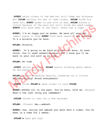*(AVERY walks closer to the bed but still keep her distance. But DYLAN motions for her to come closer. DYLAN holds his hand out, AVERY grabs it and sits on bed. DYLAN winces a little because of the pain but still holds her hand tight. EDWIN sits back down in the chair. Avery has a limp)*

**AVERY:** I'm so happy you're awake. We were all worried. *(small pause to help AVERY hold back tears)* I was worried. It's a miracle you're here.

**DYLAN:** Miracle.

**AVERY:** It's going to be hard at first. To move. Or even think. You'll need rehabilitation. But I know you'll be back to your old self in no time.

**DYLAN:** No time

*(AVERY smiles a little. DYLAN starts thinking about where he was before his coma)*

**DYLAN:***(starts Breathing heavily, freaking out a little)* Bullets flying! Blood everywhere!

*(AVERY holds DYLAN's hand closer to calm DYLAN)*

**AVERY:** Shhhhh all in the past. You're here, with me. *(Pauses)* What's the last thing you remember?

*(DYLAN thinks it over for a few seconds)*

**DYLAN:** *(frowns)* Am………ambush.

**AVERY:** Yes, during the ambush you were shot 6 times. You've been in a coma for 2 weeks.

*(DYLAN's eyes get big)*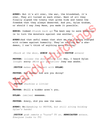**AVERY:** But it's all over, the war, the bloodshed, it's over. They all turned on each other. Best of all they finally signed the treaty that gives kids and teens the freedom that they always deserved. And you, Dylan Graham, or should I say Joey Mane, you made it possible.

**EDWIN:** Indeed *(Stands back up)* The best way to save humanity is to turn the monsters against one another.

**AVERY:**And that awful woman that shot me she's being charged with crimes against humanity. They're calling her a shedemon, I can't think of anything more fitting.

*(Knock at the door, EDWIN opens door, PEYTON enters)*

**PEYTON:** *(closes the door behind him)* Hey, I heard Dylan *(cough)* sorry *(With air quotation)* Joey was awake.

(**PEYTON** makes eye contact with **DYLAN)**

**PEYTON:** Hey buddy, how are you doing?

**DYLAN:** Alive.

*(PEYTON chuckles a little)*

**PEYTON:** Still a kidder aren't you.

**DYLAN:** *(smiles)* mmmmmmm.

**PEYTON:** Avery, did you see the news.

**AVERY:** No*(Speaking to PEYTON, but still siting holding Dylan's hands)*

*(PEYTON grab remote a "turns" TV on. NEWSCASTER enters. Everyone looks to TV)*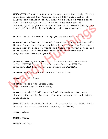**NEWSCASTER:** Today history was is made when the newly elected president signed the Freedom Act of 2027 which makes it illegal for children of all ages to be sold or work for no pay. Thanks to the heroic acts of Joey Mane who is recovering from gun shots sustained in an ambush during the Heartland War.This is certainly a day to remember.

**AVERY:** *(looks to DYLAN)* Oh my god.*(turns back to TV)*

**NEWSCASTER:** After an internal investigation on Capitol Hill it was found that money has been hidden from the American people for at least 75 years and there was never a need for child labor. This plan was more cost effective than programs for troubled youth.

*(PEYTON, DYLAN,and AVERY look at each other. NEWCASTER exits. PEYTON "turns" TV off. puts hand on AVERY's shoulder. AVERY looks up and smiles at PEYTON.)*

**PEYTON:** Yup, you've had one hell of a life.

**EDWIN:** You all have.

**PEYTON:** We are the Dream Team. *(Both AVERY and DYLAN giggle)*

**EDWIN:** You should all be proud of yourselves. You have changed the world forever, for your generation and future generations.

*(DYLAN looks at AVERY's shirt. He points to it. AVERY Looks down at the shirt and then looks up at DYLAN)*

**DYLAN:** mine?

**AVERY:** Yeah.

*(DYLAN smiles)*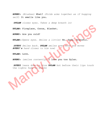**AVERY:** *(Blushes)* What? *(Folds arms together as if hugging self)* It smells like you.

*(DYLAN closes eyes. Takes a deep breath in)* 

**DYLAN:** Fireplace, Cocoa, Blanket.

**AVERY:** Are you cold?

**DYLAN:***(Opens eyes. Smiles a little)* No. Safe. Grateful.

*(AVERY Smiles back. DYLAN smiles even more and moves AVERY's hand closer to him now)*

**DYLAN:** Love.

**AVERY:** *(smiles contently)* I love you too Dylan.

(**AVERY** leans down to kiss **DYLAN** but before their lips touch the lights fade to black)